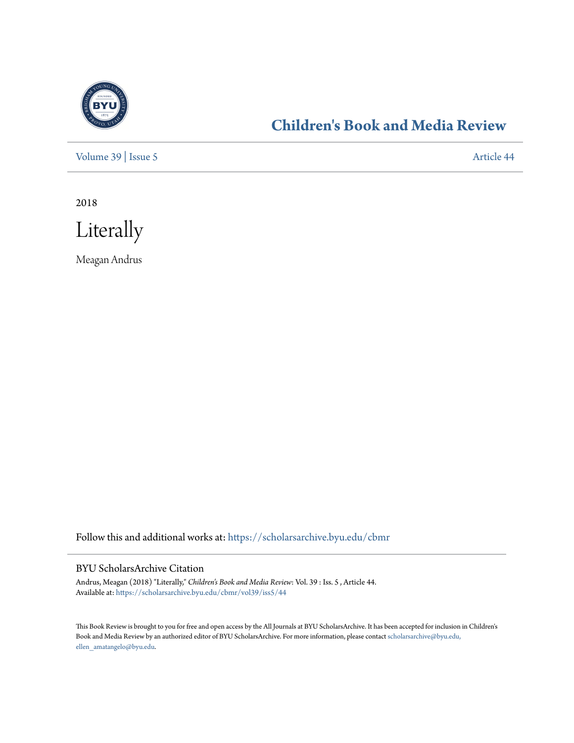

## **[Children's Book and Media Review](https://scholarsarchive.byu.edu/cbmr?utm_source=scholarsarchive.byu.edu%2Fcbmr%2Fvol39%2Fiss5%2F44&utm_medium=PDF&utm_campaign=PDFCoverPages)**

[Volume 39](https://scholarsarchive.byu.edu/cbmr/vol39?utm_source=scholarsarchive.byu.edu%2Fcbmr%2Fvol39%2Fiss5%2F44&utm_medium=PDF&utm_campaign=PDFCoverPages) | [Issue 5](https://scholarsarchive.byu.edu/cbmr/vol39/iss5?utm_source=scholarsarchive.byu.edu%2Fcbmr%2Fvol39%2Fiss5%2F44&utm_medium=PDF&utm_campaign=PDFCoverPages) [Article 44](https://scholarsarchive.byu.edu/cbmr/vol39/iss5/44?utm_source=scholarsarchive.byu.edu%2Fcbmr%2Fvol39%2Fiss5%2F44&utm_medium=PDF&utm_campaign=PDFCoverPages)

2018



Meagan Andrus

Follow this and additional works at: [https://scholarsarchive.byu.edu/cbmr](https://scholarsarchive.byu.edu/cbmr?utm_source=scholarsarchive.byu.edu%2Fcbmr%2Fvol39%2Fiss5%2F44&utm_medium=PDF&utm_campaign=PDFCoverPages)

#### BYU ScholarsArchive Citation

Andrus, Meagan (2018) "Literally," *Children's Book and Media Review*: Vol. 39 : Iss. 5 , Article 44. Available at: [https://scholarsarchive.byu.edu/cbmr/vol39/iss5/44](https://scholarsarchive.byu.edu/cbmr/vol39/iss5/44?utm_source=scholarsarchive.byu.edu%2Fcbmr%2Fvol39%2Fiss5%2F44&utm_medium=PDF&utm_campaign=PDFCoverPages)

This Book Review is brought to you for free and open access by the All Journals at BYU ScholarsArchive. It has been accepted for inclusion in Children's Book and Media Review by an authorized editor of BYU ScholarsArchive. For more information, please contact [scholarsarchive@byu.edu,](mailto:scholarsarchive@byu.edu,%20ellen_amatangelo@byu.edu) [ellen\\_amatangelo@byu.edu.](mailto:scholarsarchive@byu.edu,%20ellen_amatangelo@byu.edu)